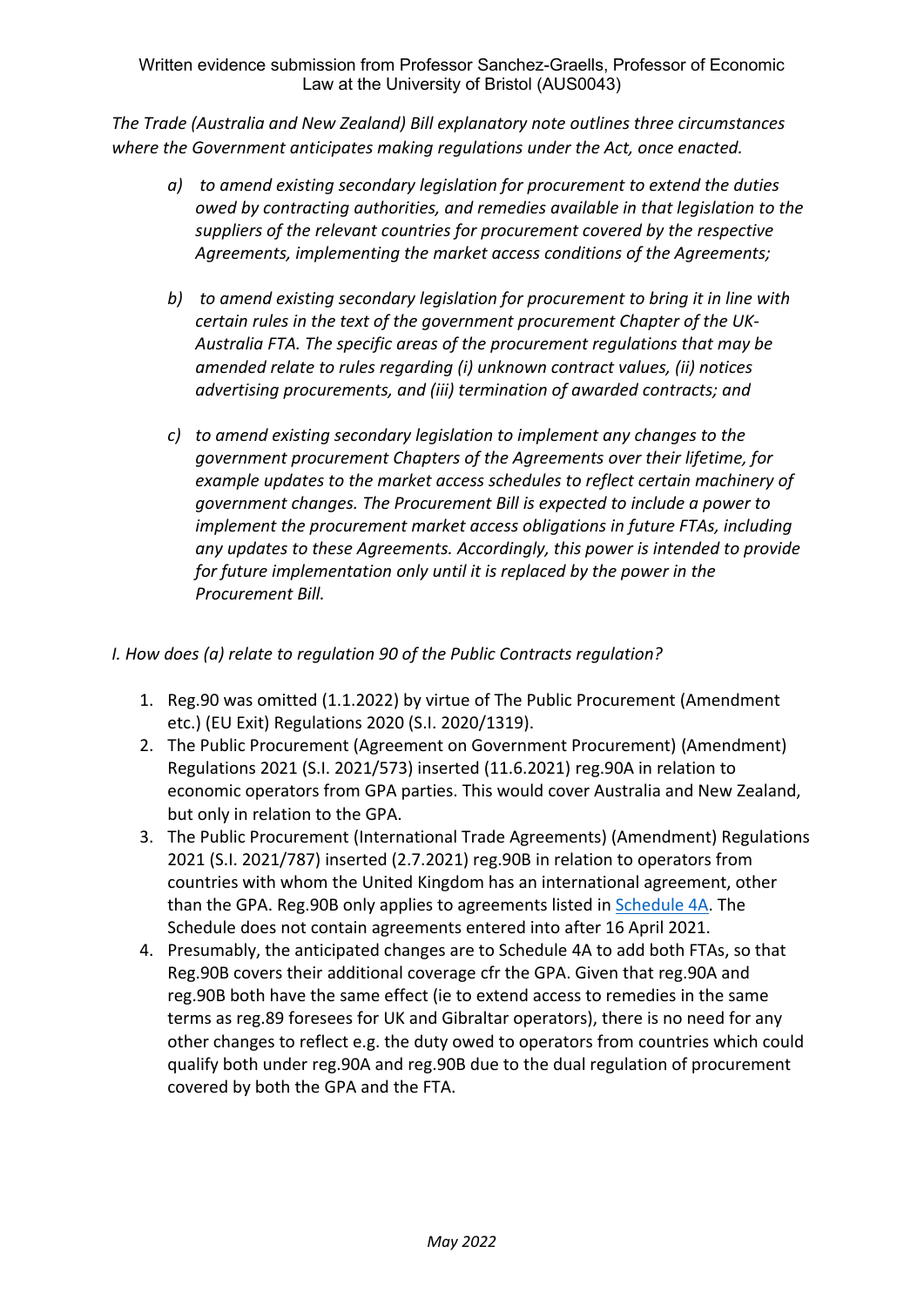Written evidence submission from Professor Sanchez-Graells, Professor of Economic Law at the University of Bristol (AUS0043)

*The Trade (Australia and New Zealand) Bill explanatory note outlines three circumstances where the Government anticipates making regulations under the Act, once enacted.*

- *a) to amend existing secondary legislation for procurement to extend the duties owed by contracting authorities, and remedies available in that legislation to the suppliers of the relevant countries for procurement covered by the respective Agreements, implementing the market access conditions of the Agreements;*
- *b) to amend existing secondary legislation for procurement to bring it in line with certain rules in the text of the government procurement Chapter of the UK-Australia FTA. The specific areas of the procurement regulations that may be amended relate to rules regarding (i) unknown contract values, (ii) notices advertising procurements, and (iii) termination of awarded contracts; and*
- *c) to amend existing secondary legislation to implement any changes to the government procurement Chapters of the Agreements over their lifetime, for example updates to the market access schedules to reflect certain machinery of government changes. The Procurement Bill is expected to include a power to implement the procurement market access obligations in future FTAs, including any updates to these Agreements. Accordingly, this power is intended to provide for future implementation only until it is replaced by the power in the Procurement Bill.*

*I. How does (a) relate to regulation 90 of the Public Contracts regulation?*

- 1. Reg.90 was omitted (1.1.2022) by virtue of The Public Procurement (Amendment etc.) (EU Exit) Regulations 2020 (S.I. 2020/1319).
- 2. The Public Procurement (Agreement on Government Procurement) (Amendment) Regulations 2021 (S.I. 2021/573) inserted (11.6.2021) reg.90A in relation to economic operators from GPA parties. This would cover Australia and New Zealand, but only in relation to the GPA.
- 3. The Public Procurement (International Trade Agreements) (Amendment) Regulations 2021 (S.I. 2021/787) inserted (2.7.2021) reg.90B in relation to operators from countries with whom the United Kingdom has an international agreement, other than the GPA. Reg.90B only applies to agreements listed in [Schedule](https://www.legislation.gov.uk/uksi/2015/102/schedule/4A) [4A.](https://www.legislation.gov.uk/uksi/2015/102/schedule/4A) The Schedule does not contain agreements entered into after 16 April 2021.
- 4. Presumably, the anticipated changes are to Schedule 4A to add both FTAs, so that Reg.90B covers their additional coverage cfr the GPA. Given that reg.90A and reg.90B both have the same effect (ie to extend access to remedies in the same terms as reg.89 foresees for UK and Gibraltar operators), there is no need for any other changes to reflect e.g. the duty owed to operators from countries which could qualify both under reg.90A and reg.90B due to the dual regulation of procurement covered by both the GPA and the FTA.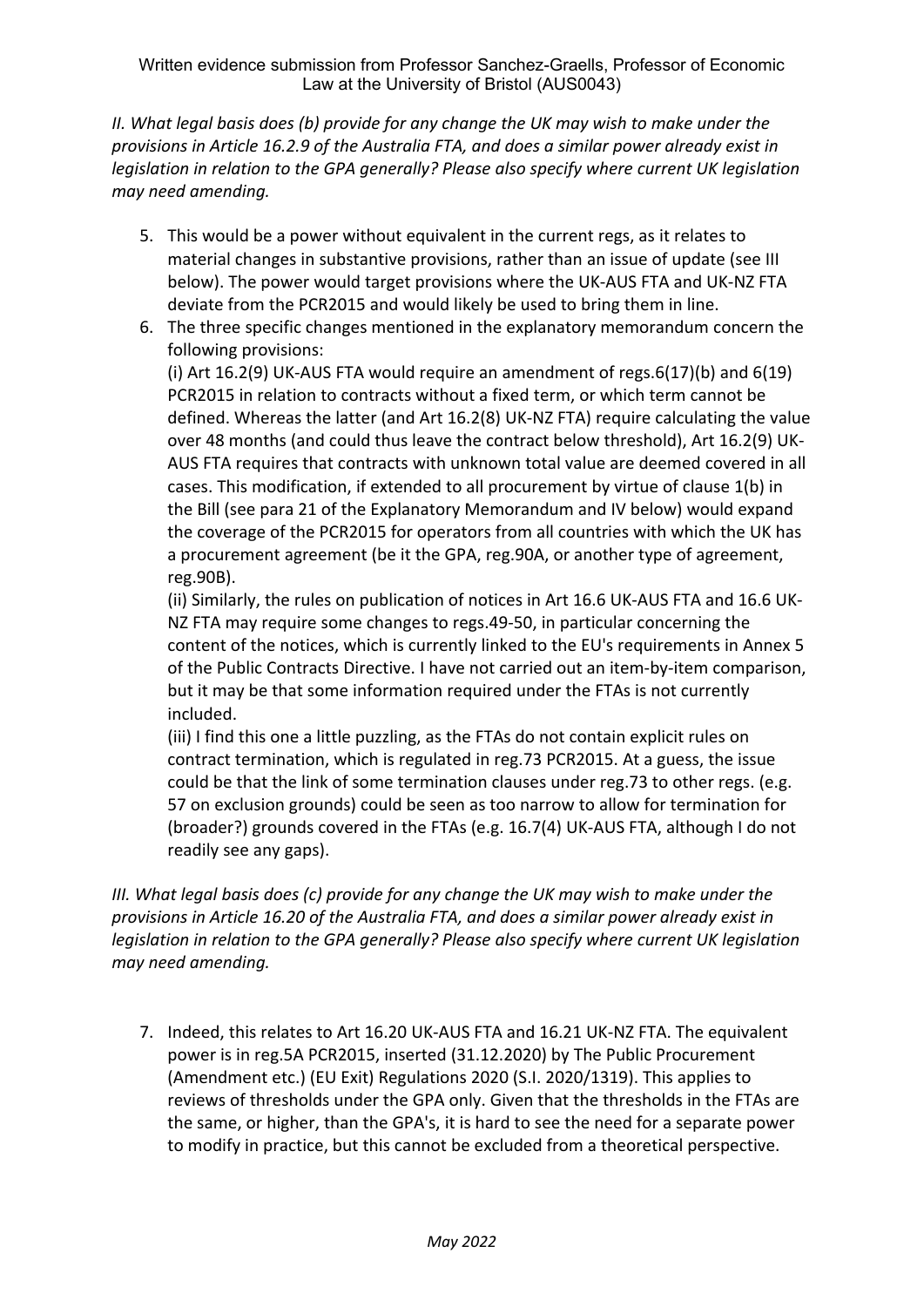*II. What legal basis does (b) provide for any change the UK may wish to make under the provisions in Article 16.2.9 of the Australia FTA, and does a similar power already exist in legislation in relation to the GPA generally? Please also specify where current UK legislation may need amending.*

- 5. This would be a power without equivalent in the current regs, as it relates to material changes in substantive provisions, rather than an issue of update (see III below). The power would target provisions where the UK-AUS FTA and UK-NZ FTA deviate from the PCR2015 and would likely be used to bring them in line.
- 6. The three specific changes mentioned in the explanatory memorandum concern the following provisions:

(i) Art 16.2(9) UK-AUS FTA would require an amendment of regs. $6(17)(b)$  and  $6(19)$ PCR2015 in relation to contracts without a fixed term, or which term cannot be defined. Whereas the latter (and Art 16.2(8) UK-NZ FTA) require calculating the value over 48 months (and could thus leave the contract below threshold), Art 16.2(9) UK-AUS FTA requires that contracts with unknown total value are deemed covered in all cases. This modification, if extended to all procurement by virtue of clause 1(b) in the Bill (see para 21 of the Explanatory Memorandum and IV below) would expand the coverage of the PCR2015 for operators from all countries with which the UK has a procurement agreement (be it the GPA, reg.90A, or another type of agreement, reg.90B).

(ii) Similarly, the rules on publication of notices in Art 16.6 UK-AUS FTA and 16.6 UK-NZ FTA may require some changes to regs.49-50, in particular concerning the content of the notices, which is currently linked to the EU's requirements in Annex 5 of the Public Contracts Directive. I have not carried out an item-by-item comparison, but it may be that some information required under the FTAs is not currently included.

(iii) I find this one a little puzzling, as the FTAs do not contain explicit rules on contract termination, which is regulated in reg.73 PCR2015. At a guess, the issue could be that the link of some termination clauses under reg.73 to other regs. (e.g. 57 on exclusion grounds) could be seen as too narrow to allow for termination for (broader?) grounds covered in the FTAs (e.g. 16.7(4) UK-AUS FTA, although I do not readily see any gaps).

*III. What legal basis does (c) provide for any change the UK may wish to make under the provisions in Article 16.20 of the Australia FTA, and does a similar power already exist in legislation in relation to the GPA generally? Please also specify where current UK legislation may need amending.*

7. Indeed, this relates to Art 16.20 UK-AUS FTA and 16.21 UK-NZ FTA. The equivalent power is in reg.5A PCR2015, inserted (31.12.2020) by The Public Procurement (Amendment etc.) (EU Exit) Regulations 2020 (S.I. 2020/1319). This applies to reviews of thresholds under the GPA only. Given that the thresholds in the FTAs are the same, or higher, than the GPA's, it is hard to see the need for a separate power to modify in practice, but this cannot be excluded from a theoretical perspective.